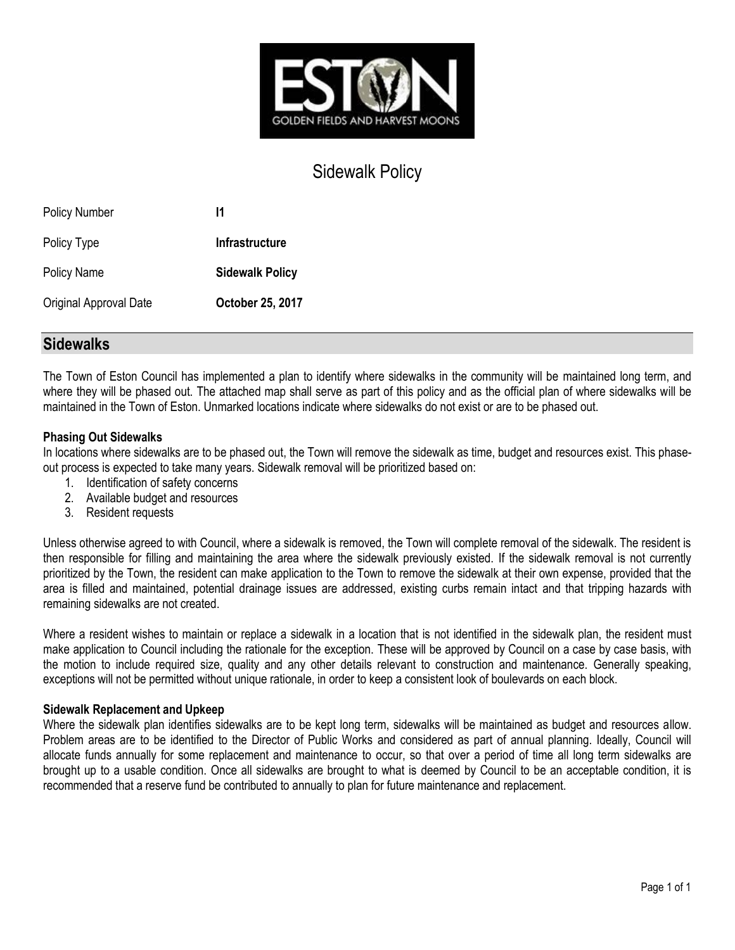

## Sidewalk Policy

| <b>Policy Number</b>   | 11                     |
|------------------------|------------------------|
| Policy Type            | <b>Infrastructure</b>  |
| <b>Policy Name</b>     | <b>Sidewalk Policy</b> |
| Original Approval Date | October 25, 2017       |

## **Sidewalks**

The Town of Eston Council has implemented a plan to identify where sidewalks in the community will be maintained long term, and where they will be phased out. The attached map shall serve as part of this policy and as the official plan of where sidewalks will be maintained in the Town of Eston. Unmarked locations indicate where sidewalks do not exist or are to be phased out.

## **Phasing Out Sidewalks**

In locations where sidewalks are to be phased out, the Town will remove the sidewalk as time, budget and resources exist. This phaseout process is expected to take many years. Sidewalk removal will be prioritized based on:

- 1. Identification of safety concerns
- 2. Available budget and resources
- 3. Resident requests

Unless otherwise agreed to with Council, where a sidewalk is removed, the Town will complete removal of the sidewalk. The resident is then responsible for filling and maintaining the area where the sidewalk previously existed. If the sidewalk removal is not currently prioritized by the Town, the resident can make application to the Town to remove the sidewalk at their own expense, provided that the area is filled and maintained, potential drainage issues are addressed, existing curbs remain intact and that tripping hazards with remaining sidewalks are not created.

Where a resident wishes to maintain or replace a sidewalk in a location that is not identified in the sidewalk plan, the resident must make application to Council including the rationale for the exception. These will be approved by Council on a case by case basis, with the motion to include required size, quality and any other details relevant to construction and maintenance. Generally speaking, exceptions will not be permitted without unique rationale, in order to keep a consistent look of boulevards on each block.

## **Sidewalk Replacement and Upkeep**

Where the sidewalk plan identifies sidewalks are to be kept long term, sidewalks will be maintained as budget and resources allow. Problem areas are to be identified to the Director of Public Works and considered as part of annual planning. Ideally, Council will allocate funds annually for some replacement and maintenance to occur, so that over a period of time all long term sidewalks are brought up to a usable condition. Once all sidewalks are brought to what is deemed by Council to be an acceptable condition, it is recommended that a reserve fund be contributed to annually to plan for future maintenance and replacement.